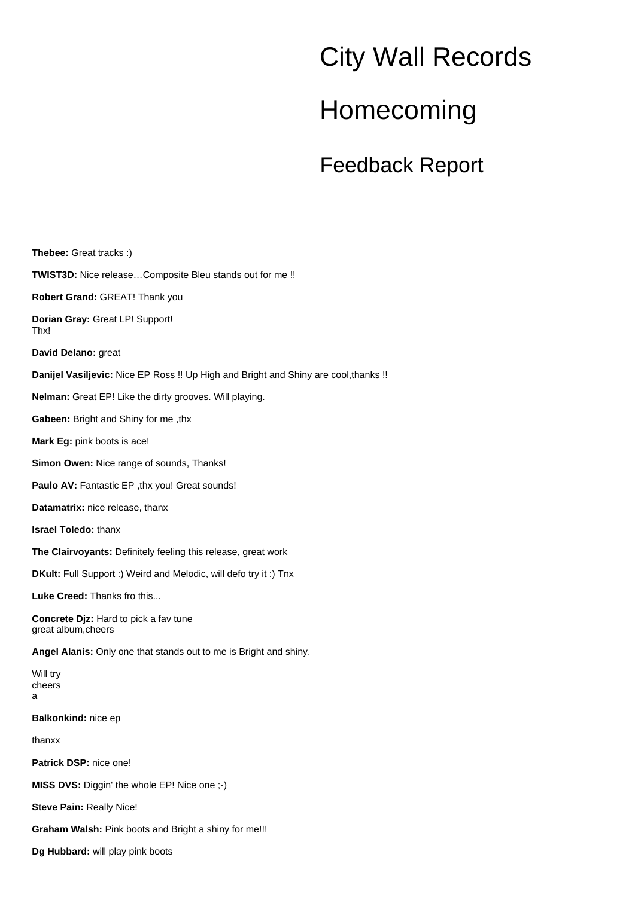## City Wall Records

## Homecoming

Feedback Report

**Thebee:** Great tracks :) **TWIST3D:** Nice release…Composite Bleu stands out for me !! **Robert Grand:** GREAT! Thank you **Dorian Gray:** Great LP! Support! Thx! **David Delano:** great **Danijel Vasiljevic:** Nice EP Ross !! Up High and Bright and Shiny are cool,thanks !! **Nelman:** Great EP! Like the dirty grooves. Will playing. **Gabeen:** Bright and Shiny for me ,thx **Mark Eg:** pink boots is ace! **Simon Owen:** Nice range of sounds, Thanks! Paulo AV: Fantastic EP, thx you! Great sounds! **Datamatrix:** nice release, thanx **Israel Toledo:** thanx **The Clairvoyants:** Definitely feeling this release, great work **DKult:** Full Support :) Weird and Melodic, will defo try it :) Tnx **Luke Creed:** Thanks fro this... **Concrete Djz:** Hard to pick a fav tune great album,cheers **Angel Alanis:** Only one that stands out to me is Bright and shiny. Will try cheers a **Balkonkind:** nice ep thanxx **Patrick DSP:** nice one! **MISS DVS:** Diggin' the whole EP! Nice one ;-) **Steve Pain:** Really Nice! **Graham Walsh:** Pink boots and Bright a shiny for me!!! **Dg Hubbard:** will play pink boots